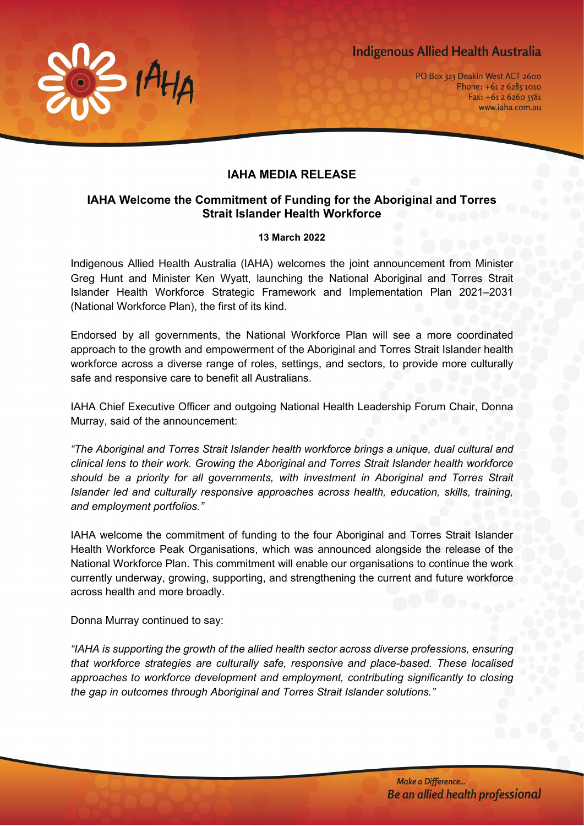



PO Box 323 Deakin West ACT 2600 Phone: +61 2 6285 1010 Fax:  $+61262605581$ www.iaha.com.au

## **IAHA MEDIA RELEASE**

## **IAHA Welcome the Commitment of Funding for the Aboriginal and Torres Strait Islander Health Workforce**

## **13 March 2022**

Indigenous Allied Health Australia (IAHA) welcomes the joint announcement from Minister Greg Hunt and Minister Ken Wyatt, launching the National Aboriginal and Torres Strait Islander Health Workforce Strategic Framework and Implementation Plan 2021–2031 (National Workforce Plan), the first of its kind.

Endorsed by all governments, the National Workforce Plan will see a more coordinated approach to the growth and empowerment of the Aboriginal and Torres Strait Islander health workforce across a diverse range of roles, settings, and sectors, to provide more culturally safe and responsive care to benefit all Australians.

IAHA Chief Executive Officer and outgoing National Health Leadership Forum Chair, Donna Murray, said of the announcement:

*"The Aboriginal and Torres Strait Islander health workforce brings a unique, dual cultural and clinical lens to their work. Growing the Aboriginal and Torres Strait Islander health workforce should be a priority for all governments, with investment in Aboriginal and Torres Strait Islander led and culturally responsive approaches across health, education, skills, training, and employment portfolios."*

IAHA welcome the commitment of funding to the four Aboriginal and Torres Strait Islander Health Workforce Peak Organisations, which was announced alongside the release of the National Workforce Plan. This commitment will enable our organisations to continue the work currently underway, growing, supporting, and strengthening the current and future workforce across health and more broadly.

Donna Murray continued to say:

*"IAHA is supporting the growth of the allied health sector across diverse professions, ensuring that workforce strategies are culturally safe, responsive and place-based. These localised approaches to workforce development and employment, contributing significantly to closing the gap in outcomes through Aboriginal and Torres Strait Islander solutions."*